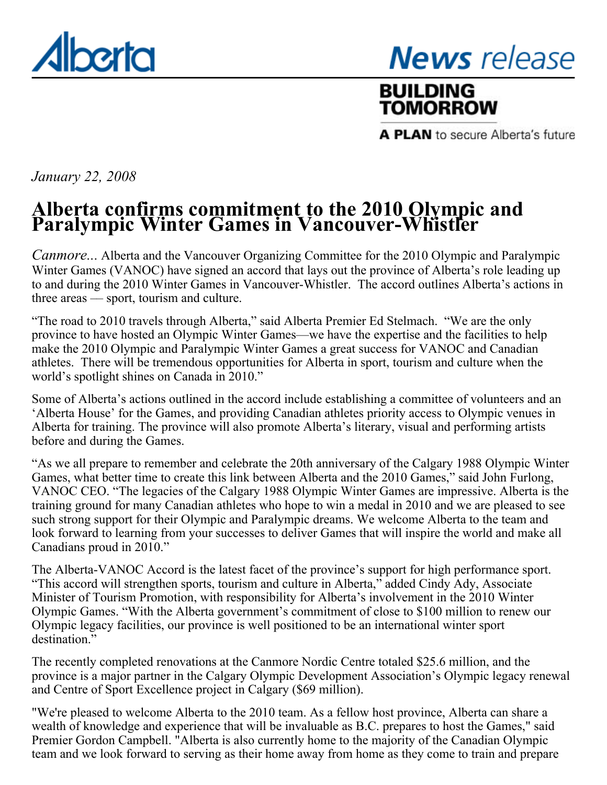<span id="page-0-0"></span>

# **News** release

## **BUILDING TOMORROW**

A PLAN to secure Alberta's future

*January 22, 2008*

### **Alberta confirms commitment to the 2010 Olympic and Paralympic Winter Games in Vancouver-Whistler**

*Canmore...* Alberta and the Vancouver Organizing Committee for the 2010 Olympic and Paralympic Winter Games (VANOC) have signed an accord that lays out the province of Alberta's role leading up to and during the 2010 Winter Games in Vancouver-Whistler. The accord outlines Alberta's actions in three areas –– sport, tourism and culture.

"The road to 2010 travels through Alberta," said Alberta Premier Ed Stelmach. "We are the only province to have hosted an Olympic Winter Games—we have the expertise and the facilities to help make the 2010 Olympic and Paralympic Winter Games a great success for VANOC and Canadian athletes. There will be tremendous opportunities for Alberta in sport, tourism and culture when the world's spotlight shines on Canada in 2010."

Some of Alberta's actions outlined in the accord include establishing a committee of volunteers and an 'Alberta House' for the Games, and providing Canadian athletes priority access to Olympic venues in Alberta for training. The province will also promote Alberta's literary, visual and performing artists before and during the Games.

"As we all prepare to remember and celebrate the 20th anniversary of the Calgary 1988 Olympic Winter Games, what better time to create this link between Alberta and the 2010 Games," said John Furlong, VANOC CEO. "The legacies of the Calgary 1988 Olympic Winter Games are impressive. Alberta is the training ground for many Canadian athletes who hope to win a medal in 2010 and we are pleased to see such strong support for their Olympic and Paralympic dreams. We welcome Alberta to the team and look forward to learning from your successes to deliver Games that will inspire the world and make all Canadians proud in 2010."

The Alberta-VANOC Accord is the latest facet of the province's support for high performance sport. "This accord will strengthen sports, tourism and culture in Alberta," added Cindy Ady, Associate Minister of Tourism Promotion, with responsibility for Alberta's involvement in the 2010 Winter Olympic Games. "With the Alberta government's commitment of close to \$100 million to renew our Olympic legacy facilities, our province is well positioned to be an international winter sport destination."

The recently completed renovations at the Canmore Nordic Centre totaled \$25.6 million, and the province is a major partner in the Calgary Olympic Development Association's Olympic legacy renewal and Centre of Sport Excellence project in Calgary (\$69 million).

"We're pleased to welcome Alberta to the 2010 team. As a fellow host province, Alberta can share a wealth of knowledge and experience that will be invaluable as B.C. prepares to host the Games," said Premier Gordon Campbell. "Alberta is also currently home to the majority of the Canadian Olympic team and we look forward to serving as their home away from home as they come to train and prepare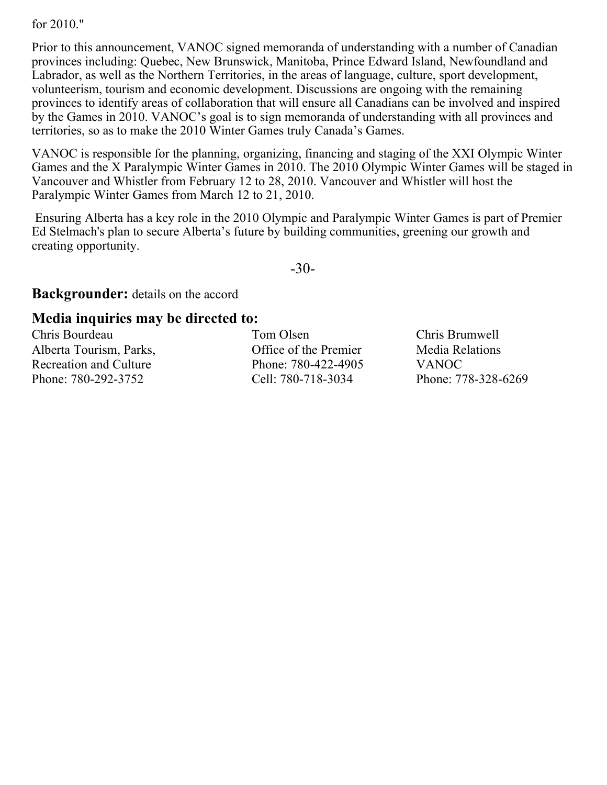for 2010."

Prior to this announcement, VANOC signed memoranda of understanding with a number of Canadian provinces including: Quebec, New Brunswick, Manitoba, Prince Edward Island, Newfoundland and Labrador, as well as the Northern Territories, in the areas of language, culture, sport development, volunteerism, tourism and economic development. Discussions are ongoing with the remaining provinces to identify areas of collaboration that will ensure all Canadians can be involved and inspired by the Games in 2010. VANOC's goal is to sign memoranda of understanding with all provinces and territories, so as to make the 2010 Winter Games truly Canada's Games.

VANOC is responsible for the planning, organizing, financing and staging of the XXI Olympic Winter Games and the X Paralympic Winter Games in 2010. The 2010 Olympic Winter Games will be staged in Vancouver and Whistler from February 12 to 28, 2010. Vancouver and Whistler will host the Paralympic Winter Games from March 12 to 21, 2010.

 Ensuring Alberta has a key role in the 2010 Olympic and Paralympic Winter Games is part of Premier Ed Stelmach's plan to secure Alberta's future by building communities, greening our growth and creating opportunity.

-30-

**Backgrounder:** details on the accord

#### **Media inquiries may be directed to:**

Chris Bourdeau Alberta Tourism, Parks, Recreation and Culture Phone: 780-292-3752

Tom Olsen Office of the Premier Phone: 780-422-4905 Cell: 780-718-3034

Chris Brumwell Media Relations VANOC Phone: 778-328-6269